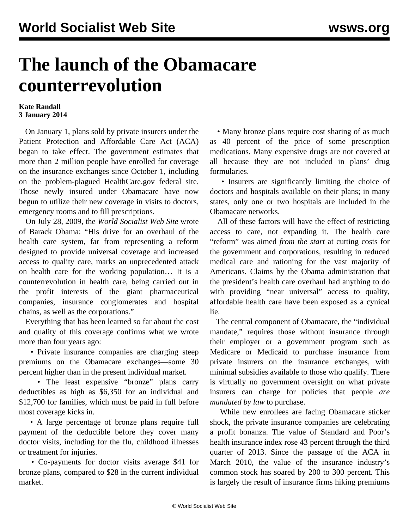## **The launch of the Obamacare counterrevolution**

## **Kate Randall 3 January 2014**

 On January 1, plans sold by private insurers under the Patient Protection and Affordable Care Act (ACA) began to take effect. The government estimates that more than 2 million people have enrolled for coverage on the insurance exchanges since October 1, including on the problem-plagued HealthCare.gov federal site. Those newly insured under Obamacare have now begun to utilize their new coverage in visits to doctors, emergency rooms and to fill prescriptions.

 On July 28, 2009, the *World Socialist Web Site* wrote of Barack Obama: "His drive for an overhaul of the health care system, far from representing a reform designed to provide universal coverage and increased access to quality care, marks an unprecedented attack on health care for the working population… It is a counterrevolution in health care, being carried out in the profit interests of the giant pharmaceutical companies, insurance conglomerates and hospital chains, as well as the corporations."

 Everything that has been learned so far about the cost and quality of this coverage confirms what we wrote more than four years ago:

 • Private insurance companies are charging steep premiums on the Obamacare exchanges—some 30 percent higher than in the present individual market.

 • The least expensive "bronze" plans carry deductibles as high as \$6,350 for an individual and \$12,700 for families, which must be paid in full before most coverage kicks in.

 • A large percentage of bronze plans require full payment of the deductible before they cover many doctor visits, including for the flu, childhood illnesses or treatment for injuries.

 • Co-payments for doctor visits average \$41 for bronze plans, compared to \$28 in the current individual market.

 • Many bronze plans require cost sharing of as much as 40 percent of the price of some prescription medications. Many expensive drugs are not covered at all because they are not included in plans' drug formularies.

 • Insurers are significantly limiting the choice of doctors and hospitals available on their plans; in many states, only one or two hospitals are included in the Obamacare networks.

 All of these factors will have the effect of restricting access to care, not expanding it. The health care "reform" was aimed *from the start* at cutting costs for the government and corporations, resulting in reduced medical care and rationing for the vast majority of Americans. Claims by the Obama administration that the president's health care overhaul had anything to do with providing "near universal" access to quality, affordable health care have been exposed as a cynical lie.

 The central component of Obamacare, the "individual mandate," requires those without insurance through their employer or a government program such as Medicare or Medicaid to purchase insurance from private insurers on the insurance exchanges, with minimal subsidies available to those who qualify. There is virtually no government oversight on what private insurers can charge for policies that people *are mandated by law* to purchase.

 While new enrollees are facing Obamacare sticker shock, the private insurance companies are celebrating a profit bonanza. The value of Standard and Poor's health insurance index rose 43 percent through the third quarter of 2013. Since the passage of the ACA in March 2010, the value of the insurance industry's common stock has soared by 200 to 300 percent. This is largely the result of insurance firms hiking premiums